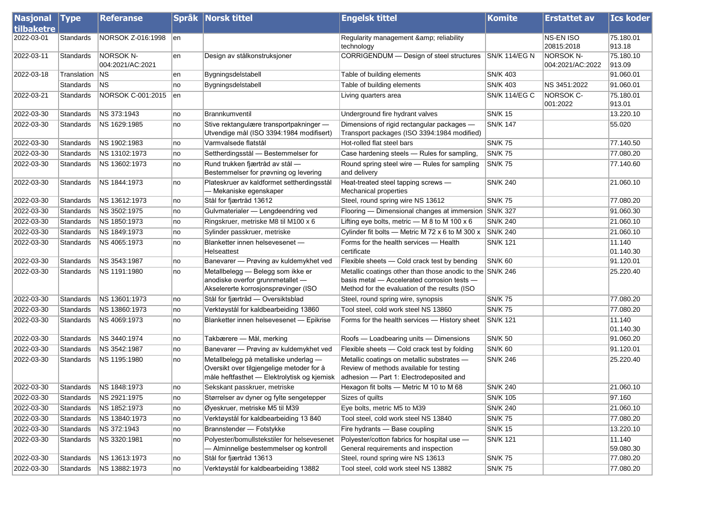| <b>Nasjonal Type</b> |             | <b>Referanse</b>                     |     | Språk Norsk tittel                                                                                                                | <b>Engelsk tittel</b>                                                                                                                                     | <b>Komite</b>        | <b>Erstattet av</b>                  | <b>Ics koder</b>    |
|----------------------|-------------|--------------------------------------|-----|-----------------------------------------------------------------------------------------------------------------------------------|-----------------------------------------------------------------------------------------------------------------------------------------------------------|----------------------|--------------------------------------|---------------------|
| tilbaketre           |             |                                      |     |                                                                                                                                   |                                                                                                                                                           |                      |                                      |                     |
| 2022-03-01           | Standards   | NORSOK Z-016:1998                    | len |                                                                                                                                   | Regularity management & reliability<br>technology                                                                                                         |                      | NS-EN ISO<br>20815:2018              | 75.180.01<br>913.18 |
| 2022-03-11           | Standards   | <b>NORSOK N-</b><br>004:2021/AC:2021 | en  | Design av stålkonstruksjoner                                                                                                      | CORRIGENDUM - Design of steel structures                                                                                                                  | <b>SN/K 114/EG N</b> | <b>NORSOK N-</b><br>004:2021/AC:2022 | 75.180.10<br>913.09 |
| 2022-03-18           | Translation | NS                                   | en  | Bygningsdelstabell                                                                                                                | Table of building elements                                                                                                                                | <b>SN/K 403</b>      |                                      | 91.060.01           |
|                      | Standards   | NS                                   | no  | Bygningsdelstabell                                                                                                                | Table of building elements                                                                                                                                | <b>SN/K 403</b>      | NS 3451:2022                         | 91.060.01           |
| 2022-03-21           | Standards   | NORSOK C-001:2015                    | en  |                                                                                                                                   | Living quarters area                                                                                                                                      | <b>SN/K 114/EG C</b> | <b>NORSOK C-</b>                     | 75.180.01           |
|                      |             |                                      |     |                                                                                                                                   |                                                                                                                                                           |                      | 001:2022                             | 913.01              |
| 2022-03-30           | Standards   | NS 373:1943                          | no  | Brannkumventil                                                                                                                    | Underground fire hydrant valves                                                                                                                           | <b>SN/K 15</b>       |                                      | 13.220.10           |
| 2022-03-30           | Standards   | NS 1629:1985                         | no  | Stive rektangulære transportpakninger -<br>Utvendige mål (ISO 3394:1984 modifisert)                                               | Dimensions of rigid rectangular packages -<br>Transport packages (ISO 3394:1984 modified)                                                                 | <b>SN/K 147</b>      |                                      | 55.020              |
| 2022-03-30           | Standards   | NS 1902:1983                         | no  | Varmvalsede flatstål                                                                                                              | Hot-rolled flat steel bars                                                                                                                                | <b>SN/K 75</b>       |                                      | 77.140.50           |
| 2022-03-30           | Standards   | NS 13102:1973                        | no  | Settherdingsstål - Bestemmelser for                                                                                               | Case hardening steels - Rules for sampling,                                                                                                               | <b>SN/K75</b>        |                                      | 77.080.20           |
| 2022-03-30           | Standards   | NS 13602:1973                        | no  | Rund trukken fjærtråd av stål -<br>Bestemmelser for prøvning og levering                                                          | Round spring steel wire - Rules for sampling<br>and delivery                                                                                              | <b>SN/K 75</b>       |                                      | 77.140.60           |
| 2022-03-30           | Standards   | NS 1844:1973                         | no  | Plateskruer av kaldformet settherdingsstål<br>– Mekaniske egenskaper                                                              | Heat-treated steel tapping screws -<br>Mechanical properties                                                                                              | <b>SN/K 240</b>      |                                      | 21.060.10           |
| 2022-03-30           | Standards   | NS 13612:1973                        | no  | Stål for fjærtråd 13612                                                                                                           | Steel, round spring wire NS 13612                                                                                                                         | <b>SN/K 75</b>       |                                      | 77.080.20           |
| 2022-03-30           | Standards   | NS 3502:1975                         | no  | Gulvmaterialer - Lengdeendring ved                                                                                                | Flooring — Dimensional changes at immersion                                                                                                               | <b>SN/K 327</b>      |                                      | 91.060.30           |
| 2022-03-30           | Standards   | NS 1850:1973                         | no  | Ringskruer, metriske M8 til M100 x 6                                                                                              | Lifting eye bolts, metric $-$ M 8 to M 100 x 6                                                                                                            | <b>SN/K 240</b>      |                                      | 21.060.10           |
| 2022-03-30           | Standards   | NS 1849:1973                         | no  | Sylinder passkruer, metriske                                                                                                      | Cylinder fit bolts - Metric M 72 x 6 to M 300 x                                                                                                           | <b>SN/K 240</b>      |                                      | 21.060.10           |
| 2022-03-30           | Standards   | NS 4065:1973                         | no  | Blanketter innen helsevesenet -<br>Helseattest                                                                                    | Forms for the health services - Health<br>certificate                                                                                                     | <b>SN/K 121</b>      |                                      | 11.140<br>01.140.30 |
| 2022-03-30           | Standards   | NS 3543:1987                         | no  | Banevarer - Prøving av kuldemykhet ved                                                                                            | Flexible sheets - Cold crack test by bending                                                                                                              | <b>SN/K 60</b>       |                                      | 91.120.01           |
| 2022-03-30           | Standards   | NS 1191:1980                         | no  | Metallbelegg - Belegg som ikke er<br>anodiske overfor grunnmetallet -<br>Akselererte korrosjonsprøvinger (ISO                     | Metallic coatings other than those anodic to the SN/K 246<br>basis metal - Accelerated corrosion tests -<br>Method for the evaluation of the results (ISO |                      |                                      | 25.220.40           |
| 2022-03-30           | Standards   | NS 13601:1973                        | no  | Stål for fjærtråd - Oversiktsblad                                                                                                 | Steel, round spring wire, synopsis                                                                                                                        | <b>SN/K75</b>        |                                      | 77.080.20           |
| 2022-03-30           | Standards   | NS 13860:1973                        | no  | Verktøystål for kaldbearbeiding 13860                                                                                             | Tool steel, cold work steel NS 13860                                                                                                                      | <b>SN/K 75</b>       |                                      | 77.080.20           |
| 2022-03-30           | Standards   | NS 4069:1973                         | no  | Blanketter innen helsevesenet - Epikrise                                                                                          | Forms for the health services - History sheet                                                                                                             | <b>SN/K 121</b>      |                                      | 11.140<br>01.140.30 |
| 2022-03-30           | Standards   | NS 3440:1974                         | no  | Takbærere - Mål, merking                                                                                                          | Roofs - Loadbearing units - Dimensions                                                                                                                    | <b>SN/K 50</b>       |                                      | 91.060.20           |
| 2022-03-30           | Standards   | NS 3542:1987                         | no  | Banevarer - Prøving av kuldemykhet ved                                                                                            | Flexible sheets - Cold crack test by folding                                                                                                              | <b>SN/K 60</b>       |                                      | 91.120.01           |
| 2022-03-30           | Standards   | NS 1195:1980                         | no  | Metallbelegg på metalliske underlag -<br>Oversikt over tilgjengelige metoder for å<br>måle heftfasthet - Elektrolytisk og kjemisk | Metallic coatings on metallic substrates -<br>Review of methods available for testing<br>adhesion - Part 1: Electrodeposited and                          | <b>SN/K 246</b>      |                                      | 25.220.40           |
| 2022-03-30           | Standards   | NS 1848:1973                         | no  | Sekskant passkruer, metriske                                                                                                      | Hexagon fit bolts - Metric M 10 to M 68                                                                                                                   | <b>SN/K 240</b>      |                                      | 21.060.10           |
| 2022-03-30           | Standards   | NS 2921:1975                         | no  | Størrelser av dyner og fylte sengetepper                                                                                          | Sizes of quilts                                                                                                                                           | <b>SN/K 105</b>      |                                      | 97.160              |
| 2022-03-30           | Standards   | NS 1852:1973                         | no  | Øyeskruer, metriske M5 til M39                                                                                                    | Eye bolts, metric M5 to M39                                                                                                                               | <b>SN/K 240</b>      |                                      | 21.060.10           |
| 2022-03-30           | Standards   | NS 13840:1973                        | no  | Verktøystål for kaldbearbeiding 13 840                                                                                            | Tool steel, cold work steel NS 13840                                                                                                                      | <b>SN/K 75</b>       |                                      | 77.080.20           |
| 2022-03-30           | Standards   | NS 372:1943                          | no  | Brannstender - Fotstykke                                                                                                          | Fire hydrants - Base coupling                                                                                                                             | SN/K 15              |                                      | 13.220.10           |
| 2022-03-30           | Standards   | NS 3320:1981                         | no  | Polyester/bomullstekstiler for helsevesenet<br>- Alminnelige bestemmelser og kontroll                                             | Polyester/cotton fabrics for hospital use -<br>General requirements and inspection                                                                        | <b>SN/K 121</b>      |                                      | 11.140<br>59.080.30 |
| 2022-03-30           | Standards   | NS 13613:1973                        | no  | Stål for fjærtråd 13613                                                                                                           | Steel, round spring wire NS 13613                                                                                                                         | <b>SN/K 75</b>       |                                      | 77.080.20           |
| 2022-03-30           | Standards   | NS 13882:1973                        | no  | Verktøystål for kaldbearbeiding 13882                                                                                             | Tool steel, cold work steel NS 13882                                                                                                                      | <b>SN/K75</b>        |                                      | 77.080.20           |